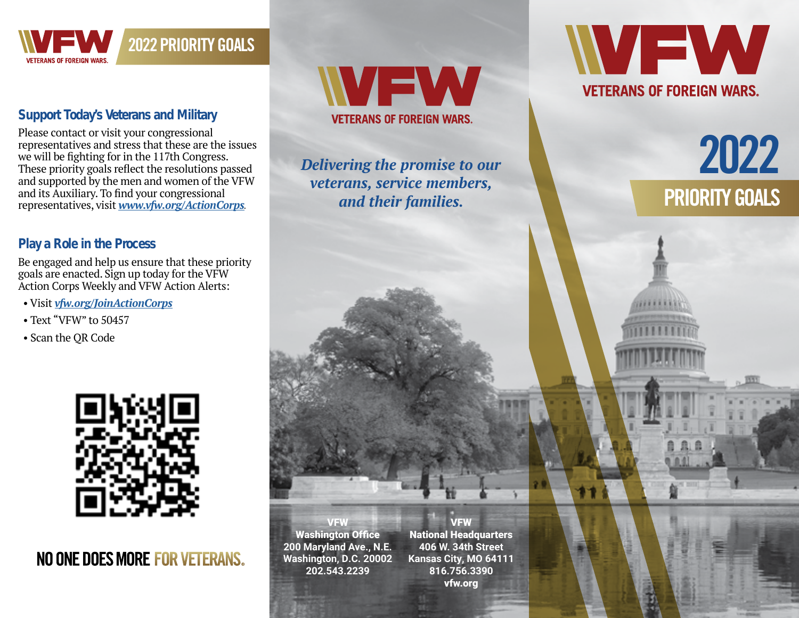

#### **Support Today's Veterans and Military**

Please contact or visit your congressional representatives and stress that these are the issues we will be fighting for in the 117th Congress. These priority goals reflect the resolutions passed and supported by the men and women of the VFW and its Auxiliary. To find your congressional representatives, visit *[www.vfw.org/ActionCorps](https://www.vfw.org/ActionCorps)*.

2022 PRIORITY GOALS

#### **Play a Role in the Process**

Be engaged and help us ensure that these priority goals are enacted. Sign up today for the VFW Action Corps Weekly and VFW Action Alerts:

- Visit *[vfw.org/JoinActionCorps](https://votervoice.net/VFW/register)*
- Text "VFW" to 50457
- Scan the QR Code



# NO ONE DOES MORE FOR VETERANS.



*Delivering the promise to our veterans, service members, and their families.*



# 2022 PRIORITY GOALS

VFW Washington Office **200 Maryland Ave., N.E. Washington, D.C. 20002 202.543.2239**

VFW **National Headquarters 406 W. 34th Street Kansas City, MO 64111 816.756.3390** vfw.org